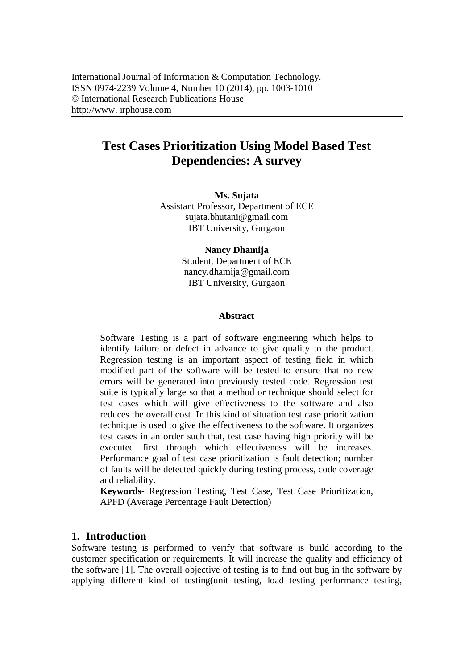# **Test Cases Prioritization Using Model Based Test Dependencies: A survey**

**Ms. Sujata** Assistant Professor, Department of ECE sujata.bhutani@gmail.com IBT University, Gurgaon

> **Nancy Dhamija** Student, Department of ECE nancy.dhamija@gmail.com IBT University, Gurgaon

#### **Abstract**

Software Testing is a part of software engineering which helps to identify failure or defect in advance to give quality to the product. Regression testing is an important aspect of testing field in which modified part of the software will be tested to ensure that no new errors will be generated into previously tested code. Regression test suite is typically large so that a method or technique should select for test cases which will give effectiveness to the software and also reduces the overall cost. In this kind of situation test case prioritization technique is used to give the effectiveness to the software. It organizes test cases in an order such that, test case having high priority will be executed first through which effectiveness will be increases. Performance goal of test case prioritization is fault detection; number of faults will be detected quickly during testing process, code coverage and reliability.

**Keywords-** Regression Testing, Test Case, Test Case Prioritization, APFD (Average Percentage Fault Detection)

### **1. Introduction**

Software testing is performed to verify that software is build according to the customer specification or requirements. It will increase the quality and efficiency of the software [1]. The overall objective of testing is to find out bug in the software by applying different kind of testing(unit testing, load testing performance testing,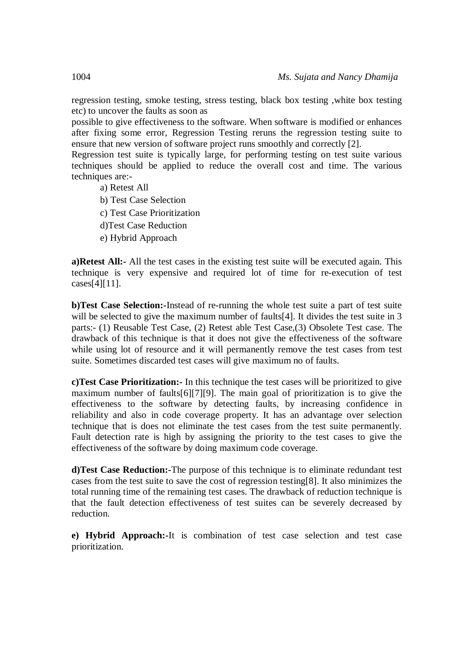regression testing, smoke testing, stress testing, black box testing ,white box testing etc) to uncover the faults as soon as

possible to give effectiveness to the software. When software is modified or enhances after fixing some error, Regression Testing reruns the regression testing suite to ensure that new version of software project runs smoothly and correctly [2].

Regression test suite is typically large, for performing testing on test suite various techniques should be applied to reduce the overall cost and time. The various techniques are:-

- a) Retest All
- b) Test Case Selection
- c) Test Case Prioritization
- d)Test Case Reduction
- e) Hybrid Approach

**a)Retest All:-** All the test cases in the existing test suite will be executed again. This technique is very expensive and required lot of time for re-execution of test cases[4][11].

**b)Test Case Selection:-**Instead of re-running the whole test suite a part of test suite will be selected to give the maximum number of faults[4]. It divides the test suite in 3 parts:- (1) Reusable Test Case, (2) Retest able Test Case,(3) Obsolete Test case. The drawback of this technique is that it does not give the effectiveness of the software while using lot of resource and it will permanently remove the test cases from test suite. Sometimes discarded test cases will give maximum no of faults.

**c)Test Case Prioritization:-** In this technique the test cases will be prioritized to give maximum number of faults[6][7][9]. The main goal of prioritization is to give the effectiveness to the software by detecting faults, by increasing confidence in reliability and also in code coverage property. It has an advantage over selection technique that is does not eliminate the test cases from the test suite permanently. Fault detection rate is high by assigning the priority to the test cases to give the effectiveness of the software by doing maximum code coverage.

**d)Test Case Reduction:-**The purpose of this technique is to eliminate redundant test cases from the test suite to save the cost of regression testing[8]. It also minimizes the total running time of the remaining test cases. The drawback of reduction technique is that the fault detection effectiveness of test suites can be severely decreased by reduction.

**e) Hybrid Approach:-**It is combination of test case selection and test case prioritization.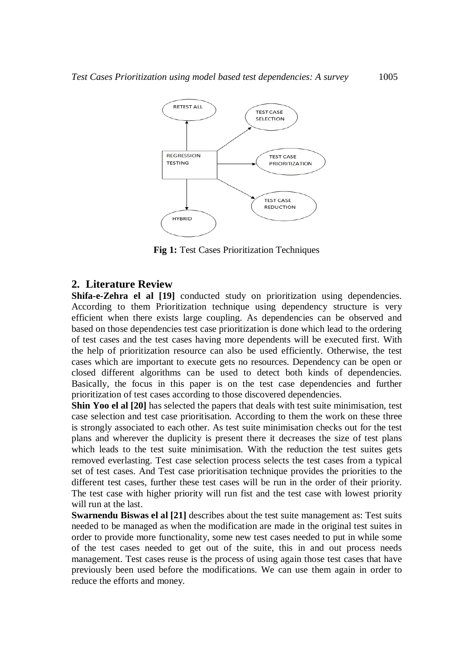

**Fig 1:** Test Cases Prioritization Techniques

### **2. Literature Review**

**Shifa-e-Zehra el al [19]** conducted study on prioritization using dependencies. According to them Prioritization technique using dependency structure is very efficient when there exists large coupling. As dependencies can be observed and based on those dependencies test case prioritization is done which lead to the ordering of test cases and the test cases having more dependents will be executed first. With the help of prioritization resource can also be used efficiently. Otherwise, the test cases which are important to execute gets no resources. Dependency can be open or closed different algorithms can be used to detect both kinds of dependencies. Basically, the focus in this paper is on the test case dependencies and further prioritization of test cases according to those discovered dependencies.

**Shin Yoo el al [20]** has selected the papers that deals with test suite minimisation, test case selection and test case prioritisation. According to them the work on these three is strongly associated to each other. As test suite minimisation checks out for the test plans and wherever the duplicity is present there it decreases the size of test plans which leads to the test suite minimisation. With the reduction the test suites gets removed everlasting. Test case selection process selects the test cases from a typical set of test cases. And Test case prioritisation technique provides the priorities to the different test cases, further these test cases will be run in the order of their priority. The test case with higher priority will run fist and the test case with lowest priority will run at the last.

**Swarnendu Biswas el al [21]** describes about the test suite management as: Test suits needed to be managed as when the modification are made in the original test suites in order to provide more functionality, some new test cases needed to put in while some of the test cases needed to get out of the suite, this in and out process needs management. Test cases reuse is the process of using again those test cases that have previously been used before the modifications. We can use them again in order to reduce the efforts and money.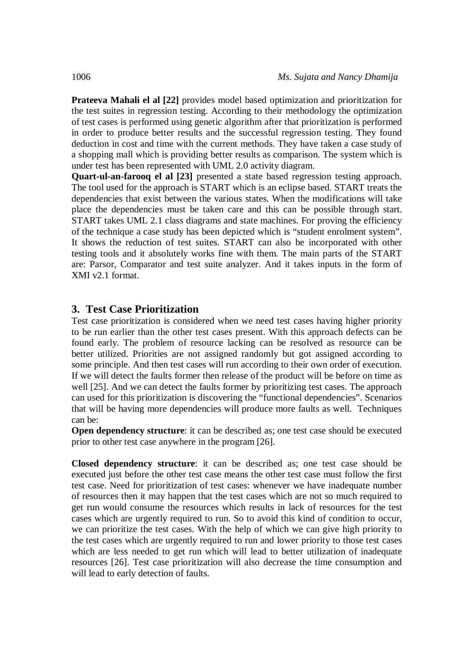**Prateeva Mahali el al [22]** provides model based optimization and prioritization for the test suites in regression testing. According to their methodology the optimization of test cases is performed using genetic algorithm after that prioritization is performed in order to produce better results and the successful regression testing. They found deduction in cost and time with the current methods. They have taken a case study of a shopping mall which is providing better results as comparison. The system which is under test has been represented with UML 2.0 activity diagram.

**Quart-ul-an-farooq el al [23]** presented a state based regression testing approach. The tool used for the approach is START which is an eclipse based. START treats the dependencies that exist between the various states. When the modifications will take place the dependencies must be taken care and this can be possible through start. START takes UML 2.1 class diagrams and state machines. For proving the efficiency of the technique a case study has been depicted which is "student enrolment system". It shows the reduction of test suites. START can also be incorporated with other testing tools and it absolutely works fine with them. The main parts of the START are: Parsor, Comparator and test suite analyzer. And it takes inputs in the form of XMI v2.1 format.

### **3. Test Case Prioritization**

Test case prioritization is considered when we need test cases having higher priority to be run earlier than the other test cases present. With this approach defects can be found early. The problem of resource lacking can be resolved as resource can be better utilized. Priorities are not assigned randomly but got assigned according to some principle. And then test cases will run according to their own order of execution. If we will detect the faults former then release of the product will be before on time as well [25]. And we can detect the faults former by prioritizing test cases. The approach can used for this prioritization is discovering the "functional dependencies". Scenarios that will be having more dependencies will produce more faults as well. Techniques can be:

**Open dependency structure**: it can be described as; one test case should be executed prior to other test case anywhere in the program [26].

**Closed dependency structure**: it can be described as; one test case should be executed just before the other test case means the other test case must follow the first test case. Need for prioritization of test cases: whenever we have inadequate number of resources then it may happen that the test cases which are not so much required to get run would consume the resources which results in lack of resources for the test cases which are urgently required to run. So to avoid this kind of condition to occur, we can prioritize the test cases. With the help of which we can give high priority to the test cases which are urgently required to run and lower priority to those test cases which are less needed to get run which will lead to better utilization of inadequate resources [26]. Test case prioritization will also decrease the time consumption and will lead to early detection of faults.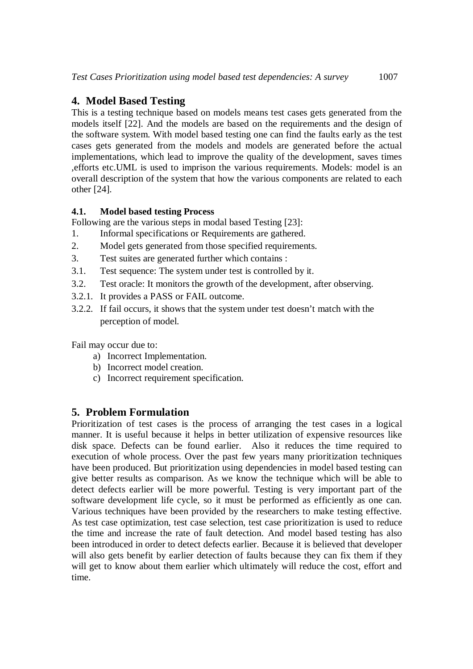### **4. Model Based Testing**

This is a testing technique based on models means test cases gets generated from the models itself [22]. And the models are based on the requirements and the design of the software system. With model based testing one can find the faults early as the test cases gets generated from the models and models are generated before the actual implementations, which lead to improve the quality of the development, saves times ,efforts etc.UML is used to imprison the various requirements. Models: model is an overall description of the system that how the various components are related to each other [24].

### **4.1. Model based testing Process**

Following are the various steps in modal based Testing [23]:

- 1. Informal specifications or Requirements are gathered.
- 2. Model gets generated from those specified requirements.
- 3. Test suites are generated further which contains :
- 3.1. Test sequence: The system under test is controlled by it.
- 3.2. Test oracle: It monitors the growth of the development, after observing.
- 3.2.1. It provides a PASS or FAIL outcome.
- 3.2.2. If fail occurs, it shows that the system under test doesn't match with the perception of model.

Fail may occur due to:

- a) Incorrect Implementation.
- b) Incorrect model creation.
- c) Incorrect requirement specification.

## **5. Problem Formulation**

Prioritization of test cases is the process of arranging the test cases in a logical manner. It is useful because it helps in better utilization of expensive resources like disk space. Defects can be found earlier. Also it reduces the time required to execution of whole process. Over the past few years many prioritization techniques have been produced. But prioritization using dependencies in model based testing can give better results as comparison. As we know the technique which will be able to detect defects earlier will be more powerful. Testing is very important part of the software development life cycle, so it must be performed as efficiently as one can. Various techniques have been provided by the researchers to make testing effective. As test case optimization, test case selection, test case prioritization is used to reduce the time and increase the rate of fault detection. And model based testing has also been introduced in order to detect defects earlier. Because it is believed that developer will also gets benefit by earlier detection of faults because they can fix them if they will get to know about them earlier which ultimately will reduce the cost, effort and time.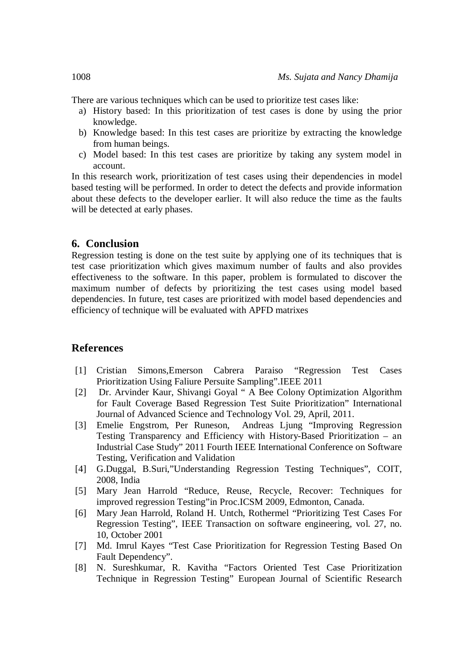There are various techniques which can be used to prioritize test cases like:

- a) History based: In this prioritization of test cases is done by using the prior knowledge.
- b) Knowledge based: In this test cases are prioritize by extracting the knowledge from human beings.
- c) Model based: In this test cases are prioritize by taking any system model in account.

In this research work, prioritization of test cases using their dependencies in model based testing will be performed. In order to detect the defects and provide information about these defects to the developer earlier. It will also reduce the time as the faults will be detected at early phases.

### **6. Conclusion**

Regression testing is done on the test suite by applying one of its techniques that is test case prioritization which gives maximum number of faults and also provides effectiveness to the software. In this paper, problem is formulated to discover the maximum number of defects by prioritizing the test cases using model based dependencies. In future, test cases are prioritized with model based dependencies and efficiency of technique will be evaluated with APFD matrixes

#### **References**

- [1] Cristian Simons,Emerson Cabrera Paraiso "Regression Test Cases Prioritization Using Faliure Persuite Sampling".IEEE 2011
- [2] Dr. Arvinder Kaur, Shivangi Goyal " A Bee Colony Optimization Algorithm for Fault Coverage Based Regression Test Suite Prioritization" International Journal of Advanced Science and Technology Vol. 29, April, 2011.
- [3] Emelie Engstrom, Per Runeson, Andreas Ljung "Improving Regression Testing Transparency and Efficiency with History-Based Prioritization – an Industrial Case Study" 2011 Fourth IEEE International Conference on Software Testing, Verification and Validation
- [4] G.Duggal, B.Suri,"Understanding Regression Testing Techniques", COIT, 2008, India
- [5] Mary Jean Harrold "Reduce, Reuse, Recycle, Recover: Techniques for improved regression Testing"in Proc.ICSM 2009, Edmonton, Canada.
- [6] Mary Jean Harrold, Roland H. Untch, Rothermel "Prioritizing Test Cases For Regression Testing", IEEE Transaction on software engineering, vol. 27, no. 10, October 2001
- [7] Md. Imrul Kayes "Test Case Prioritization for Regression Testing Based On Fault Dependency".
- [8] N. Sureshkumar, R. Kavitha "Factors Oriented Test Case Prioritization Technique in Regression Testing" European Journal of Scientific Research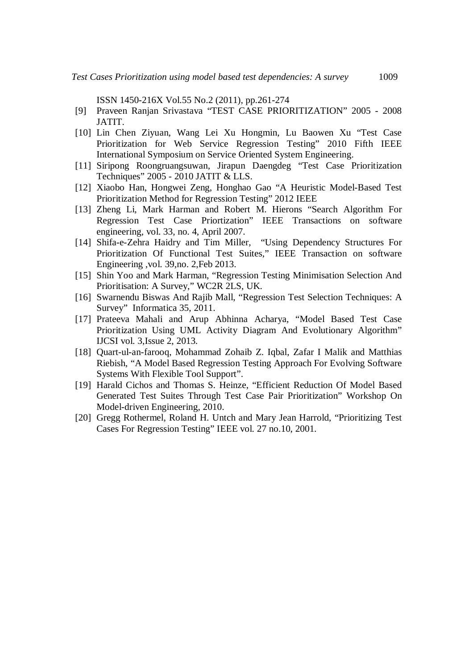ISSN 1450-216X Vol.55 No.2 (2011), pp.261-274

- [9] Praveen Ranjan Srivastava "TEST CASE PRIORITIZATION" 2005 2008 JATIT.
- [10] Lin Chen Ziyuan, Wang Lei Xu Hongmin, Lu Baowen Xu "Test Case Prioritization for Web Service Regression Testing" 2010 Fifth IEEE International Symposium on Service Oriented System Engineering.
- [11] Siripong Roongruangsuwan, Jirapun Daengdeg "Test Case Prioritization Techniques" 2005 - 2010 JATIT & LLS.
- [12] Xiaobo Han, Hongwei Zeng, Honghao Gao "A Heuristic Model-Based Test Prioritization Method for Regression Testing" 2012 IEEE
- [13] Zheng Li, Mark Harman and Robert M. Hierons "Search Algorithm For Regression Test Case Priortization" IEEE Transactions on software engineering, vol. 33, no. 4, April 2007.
- [14] Shifa-e-Zehra Haidry and Tim Miller, "Using Dependency Structures For Prioritization Of Functional Test Suites," IEEE Transaction on software Engineering ,vol. 39,no. 2,Feb 2013.
- [15] Shin Yoo and Mark Harman, "Regression Testing Minimisation Selection And Prioritisation: A Survey," WC2R 2LS, UK.
- [16] Swarnendu Biswas And Rajib Mall, "Regression Test Selection Techniques: A Survey" Informatica 35, 2011.
- [17] Prateeva Mahali and Arup Abhinna Acharya, "Model Based Test Case Prioritization Using UML Activity Diagram And Evolutionary Algorithm" IJCSI vol. 3,Issue 2, 2013.
- [18] Quart-ul-an-farooq, Mohammad Zohaib Z. Iqbal, Zafar I Malik and Matthias Riebish, "A Model Based Regression Testing Approach For Evolving Software Systems With Flexible Tool Support".
- [19] Harald Cichos and Thomas S. Heinze, "Efficient Reduction Of Model Based Generated Test Suites Through Test Case Pair Prioritization" Workshop On Model-driven Engineering, 2010.
- [20] Gregg Rothermel, Roland H. Untch and Mary Jean Harrold, "Prioritizing Test Cases For Regression Testing" IEEE vol. 27 no.10, 2001.